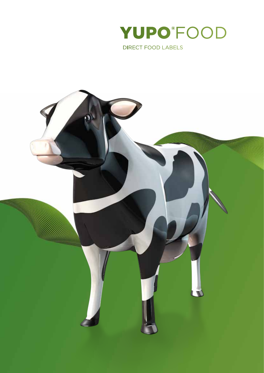